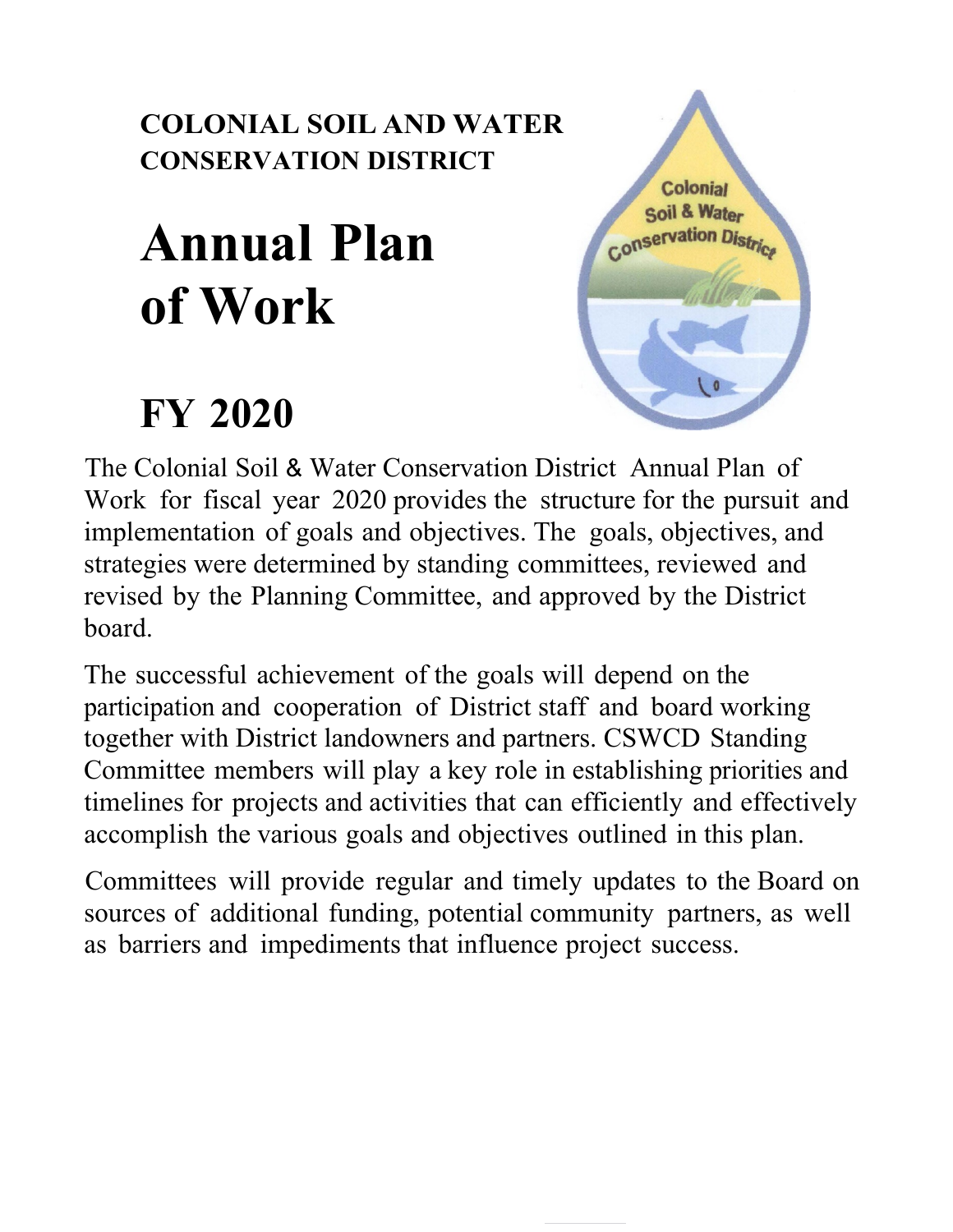## **COLONIAL SOIL AND WATER CONSERVATION DISTRICT**

# **Annual Plan of Work**

## **FY 2020**



The Colonial Soil & Water Conservation District Annual Plan of Work for fiscal year 2020 provides the structure for the pursuit and implementation of goals and objectives. The goals, objectives, and strategies were determined by standing committees, reviewed and revised by the Planning Committee, and approved by the District board.

The successful achievement of the goals will depend on the participation and cooperation of District staff and board working together with District landowners and partners. CSWCD Standing Committee members will play a key role in establishing priorities and timelines for projects and activities that can efficiently and effectively accomplish the various goals and objectives outlined in this plan.

Committees will provide regular and timely updates to the Board on sources of additional funding, potential community partners, as well as barriers and impediments that influence project success.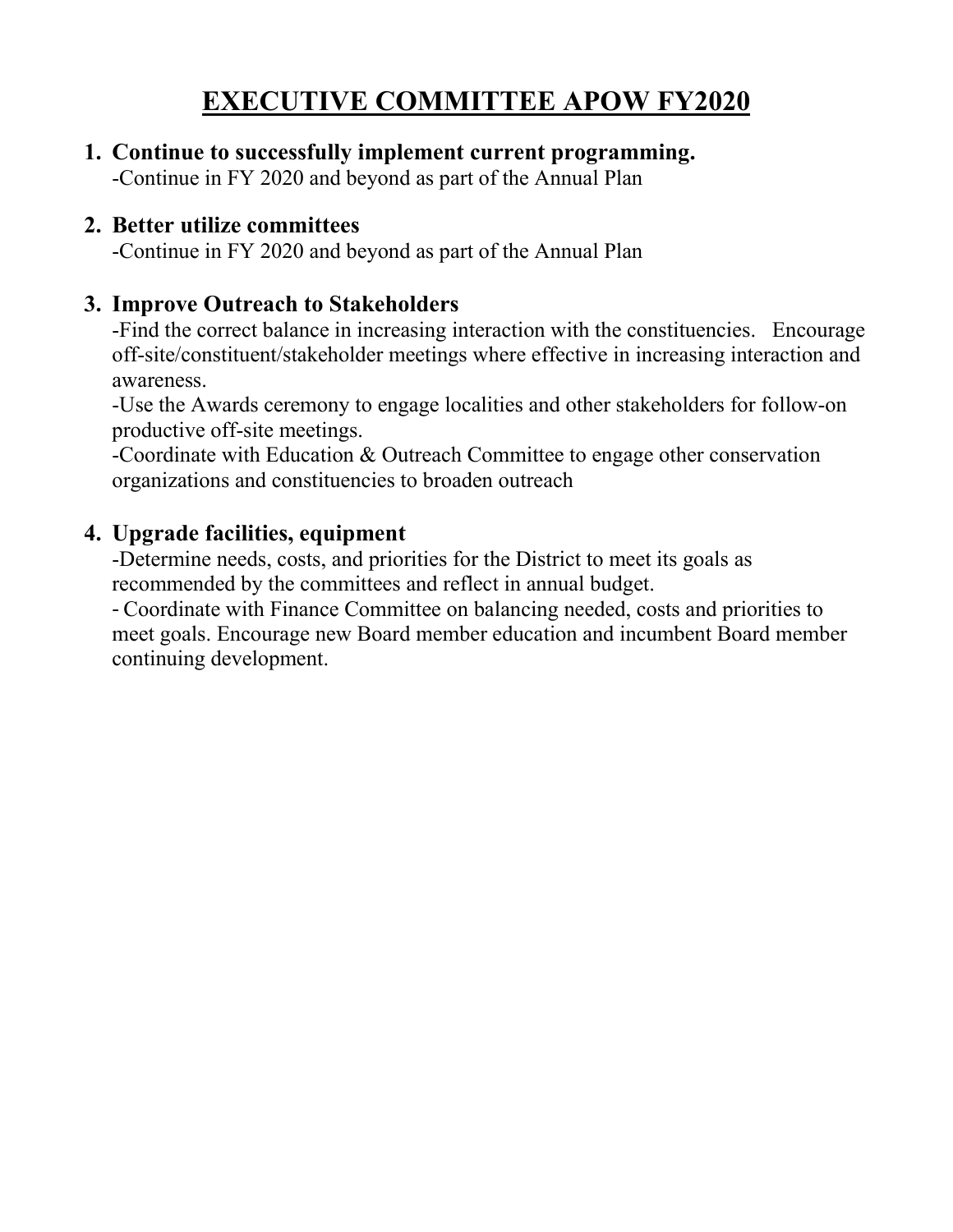## **EXECUTIVE COMMITTEE APOW FY2020**

**1. Continue to successfully implement current programming.**

#### -Continue in FY 2020 and beyond as part of the Annual Plan

#### **2. Better utilize committees**

-Continue in FY 2020 and beyond as part of the Annual Plan

#### **3. Improve Outreach to Stakeholders**

-Find the correct balance in increasing interaction with the constituencies. Encourage off-site/constituent/stakeholder meetings where effective in increasing interaction and awareness.

-Use the Awards ceremony to engage localities and other stakeholders for follow-on productive off-site meetings.

-Coordinate with Education & Outreach Committee to engage other conservation organizations and constituencies to broaden outreach

### **4. Upgrade facilities, equipment**

-Determine needs, costs, and priorities for the District to meet its goals as recommended by the committees and reflect in annual budget.

- Coordinate with Finance Committee on balancing needed, costs and priorities to meet goals. Encourage new Board member education and incumbent Board member continuing development.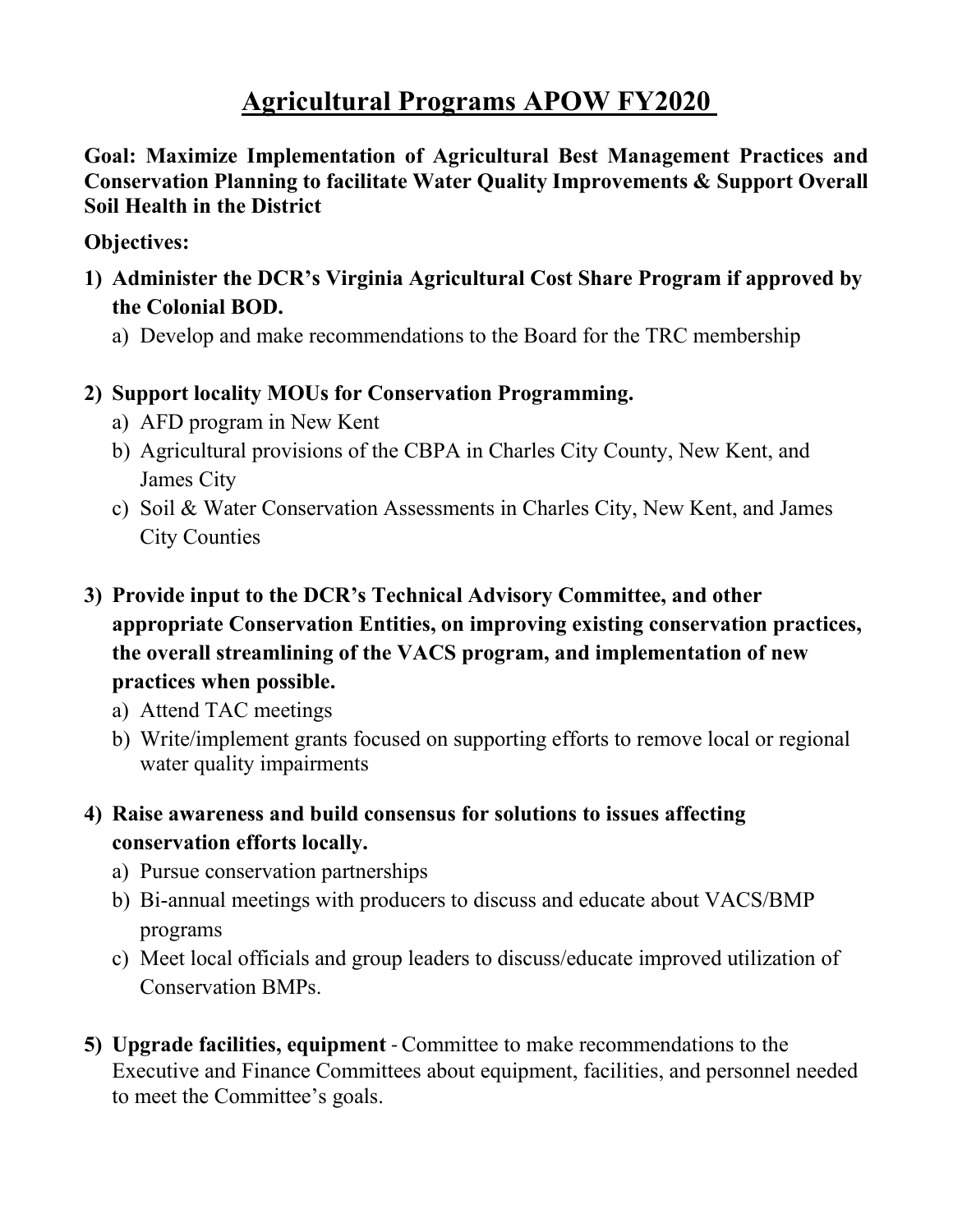## **Agricultural Programs APOW FY2020**

**Goal: Maximize Implementation of Agricultural Best Management Practices and Conservation Planning to facilitate Water Quality Improvements & Support Overall Soil Health in the District**

#### **Objectives:**

- **1) Administer the DCR's Virginia Agricultural Cost Share Program if approved by the Colonial BOD.**
	- a) Develop and make recommendations to the Board for the TRC membership
- **2) Support locality MOUs for Conservation Programming.** 
	- a) AFD program in New Kent
	- b) Agricultural provisions of the CBPA in Charles City County, New Kent, and James City
	- c) Soil & Water Conservation Assessments in Charles City, New Kent, and James City Counties
- **3) Provide input to the DCR's Technical Advisory Committee, and other appropriate Conservation Entities, on improving existing conservation practices, the overall streamlining of the VACS program, and implementation of new practices when possible.**
	- a) Attend TAC meetings
	- b) Write/implement grants focused on supporting efforts to remove local or regional water quality impairments
- **4) Raise awareness and build consensus for solutions to issues affecting conservation efforts locally.**
	- a) Pursue conservation partnerships
	- b) Bi-annual meetings with producers to discuss and educate about VACS/BMP programs
	- c) Meet local officials and group leaders to discuss/educate improved utilization of Conservation BMPs.
- **5) Upgrade facilities, equipment** Committee to make recommendations to the Executive and Finance Committees about equipment, facilities, and personnel needed to meet the Committee's goals.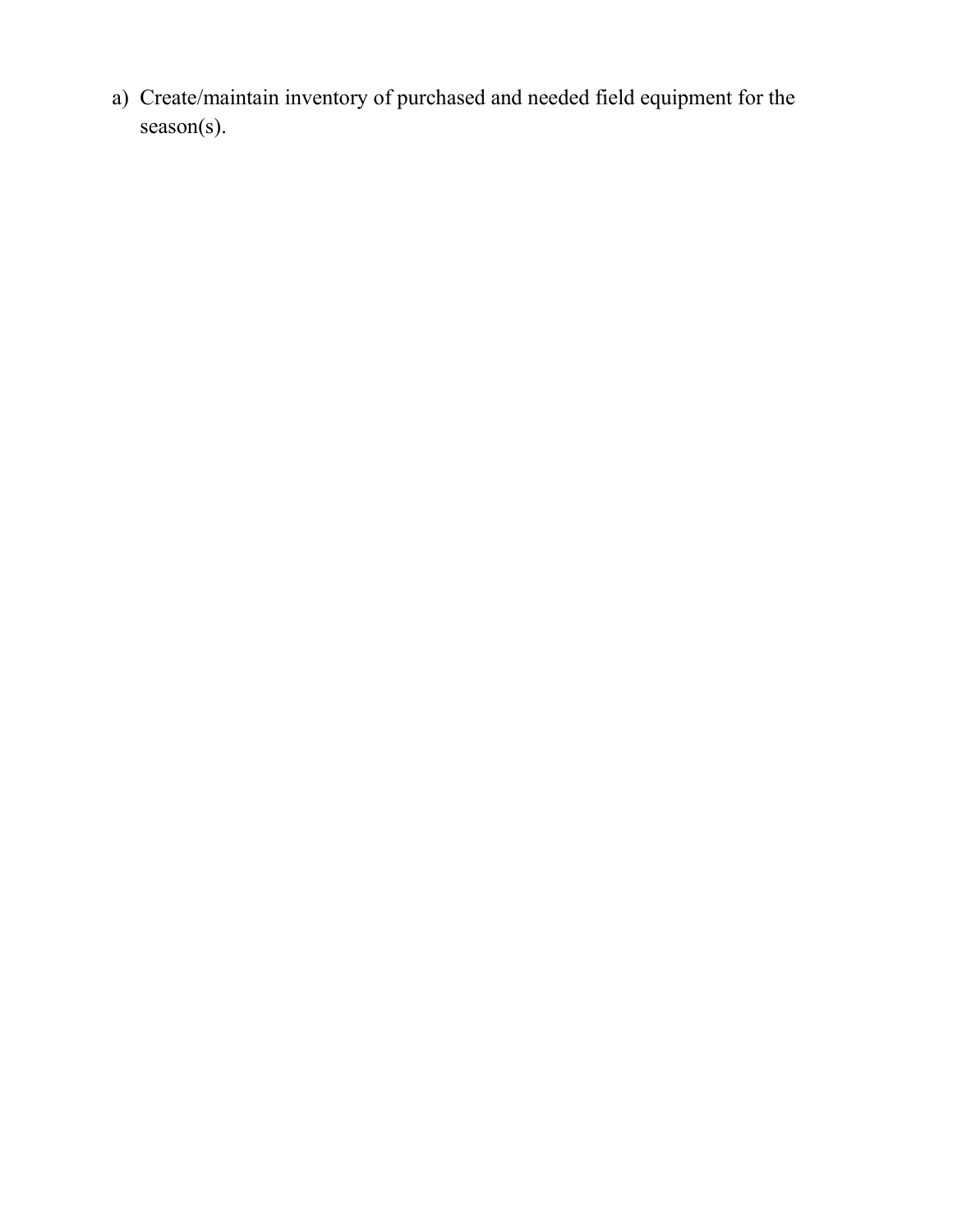a) Create/maintain inventory of purchased and needed field equipment for the season(s).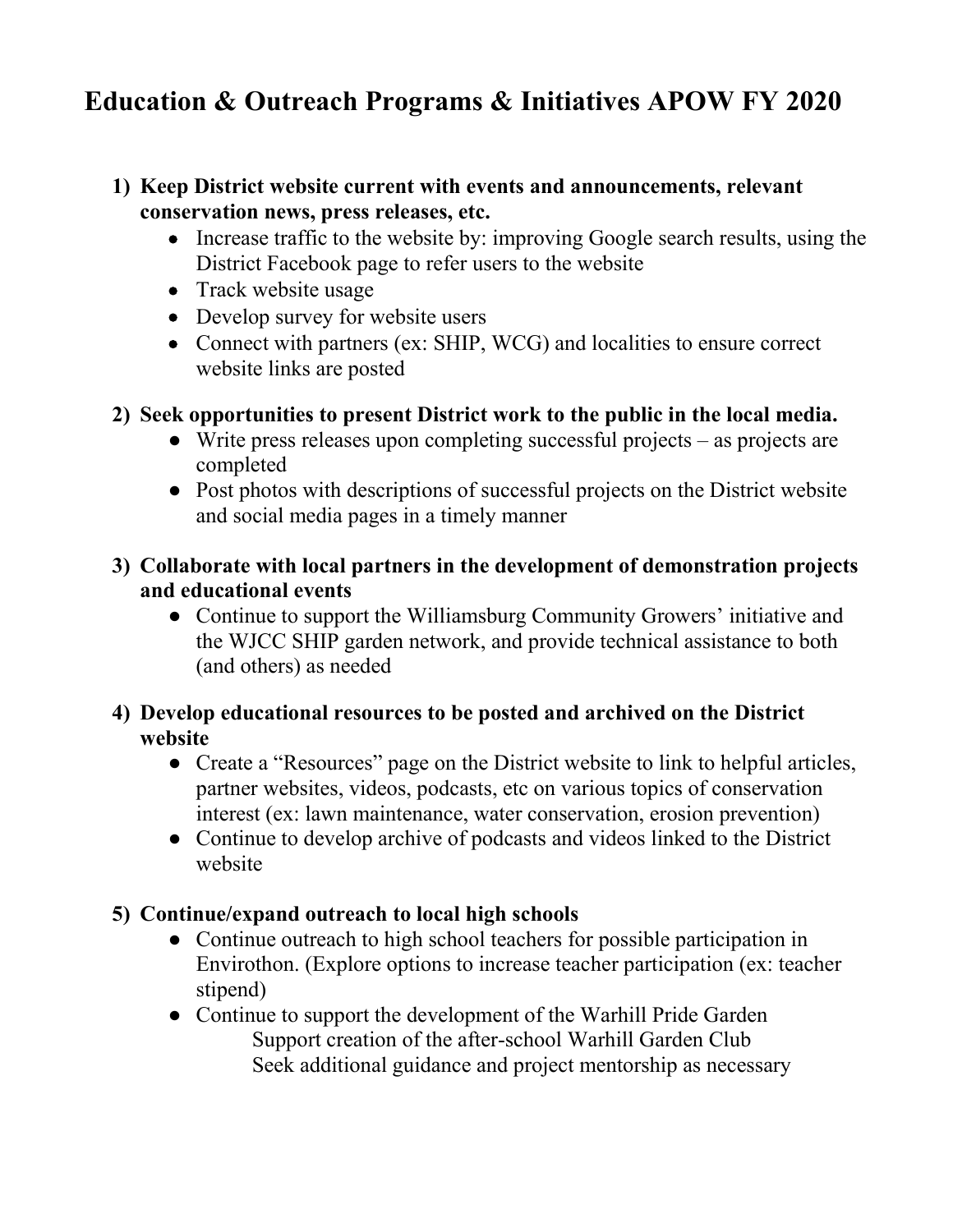## **Education & Outreach Programs & Initiatives APOW FY 2020**

#### **1) Keep District website current with events and announcements, relevant conservation news, press releases, etc.**

- Increase traffic to the website by: improving Google search results, using the District Facebook page to refer users to the website
- Track website usage
- Develop survey for website users
- Connect with partners (ex: SHIP, WCG) and localities to ensure correct website links are posted

#### **2) Seek opportunities to present District work to the public in the local media.**

- $\bullet$  Write press releases upon completing successful projects as projects are completed
- Post photos with descriptions of successful projects on the District website and social media pages in a timely manner
- **3) Collaborate with local partners in the development of demonstration projects and educational events**
	- Continue to support the Williamsburg Community Growers' initiative and the WJCC SHIP garden network, and provide technical assistance to both (and others) as needed
- **4) Develop educational resources to be posted and archived on the District website** 
	- Create a "Resources" page on the District website to link to helpful articles, partner websites, videos, podcasts, etc on various topics of conservation interest (ex: lawn maintenance, water conservation, erosion prevention)
	- Continue to develop archive of podcasts and videos linked to the District website

#### **5) Continue/expand outreach to local high schools**

- Continue outreach to high school teachers for possible participation in Envirothon. (Explore options to increase teacher participation (ex: teacher stipend)
- Continue to support the development of the Warhill Pride Garden Support creation of the after-school Warhill Garden Club Seek additional guidance and project mentorship as necessary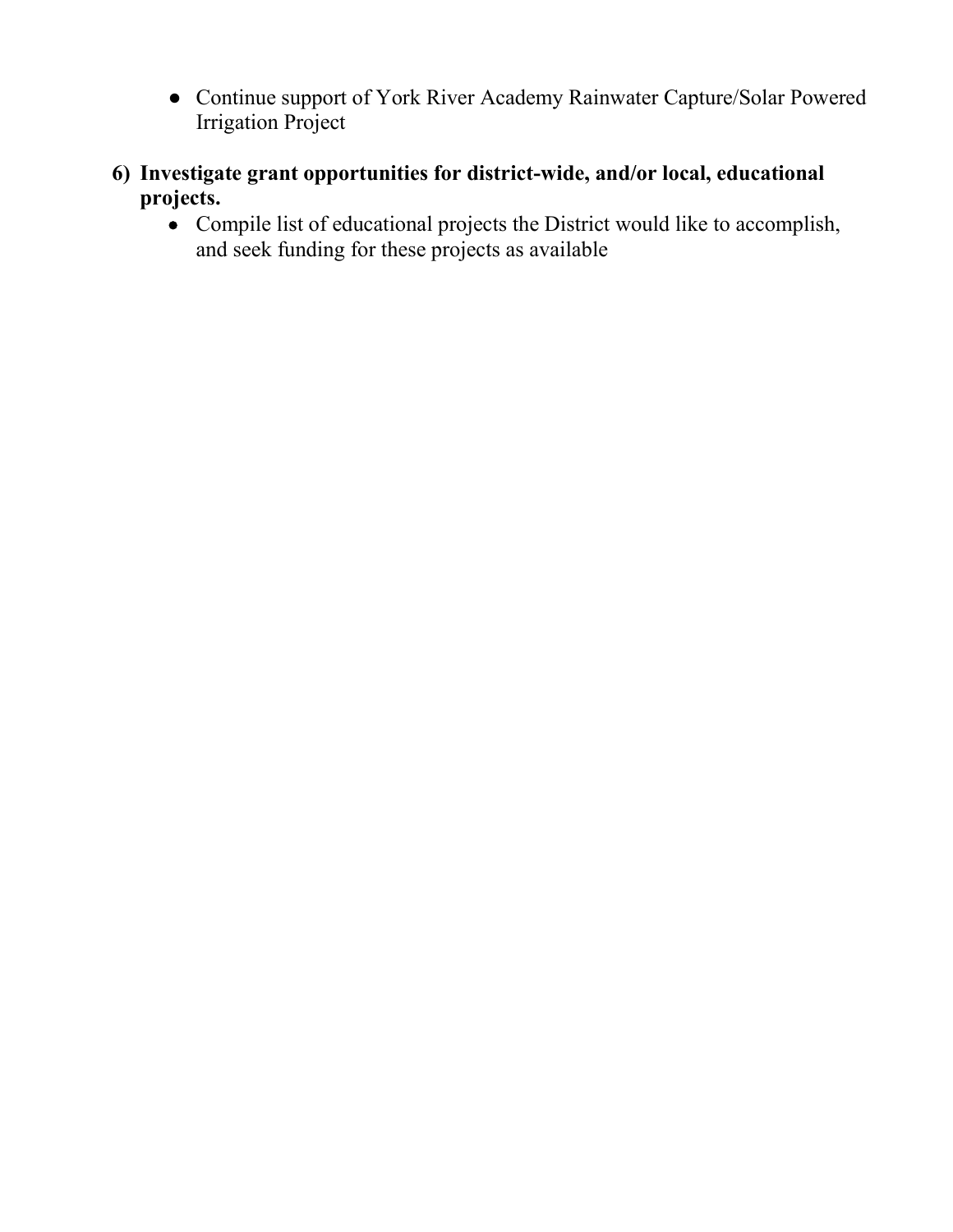- Continue support of York River Academy Rainwater Capture/Solar Powered Irrigation Project
- **6) Investigate grant opportunities for district-wide, and/or local, educational projects.**
	- Compile list of educational projects the District would like to accomplish, and seek funding for these projects as available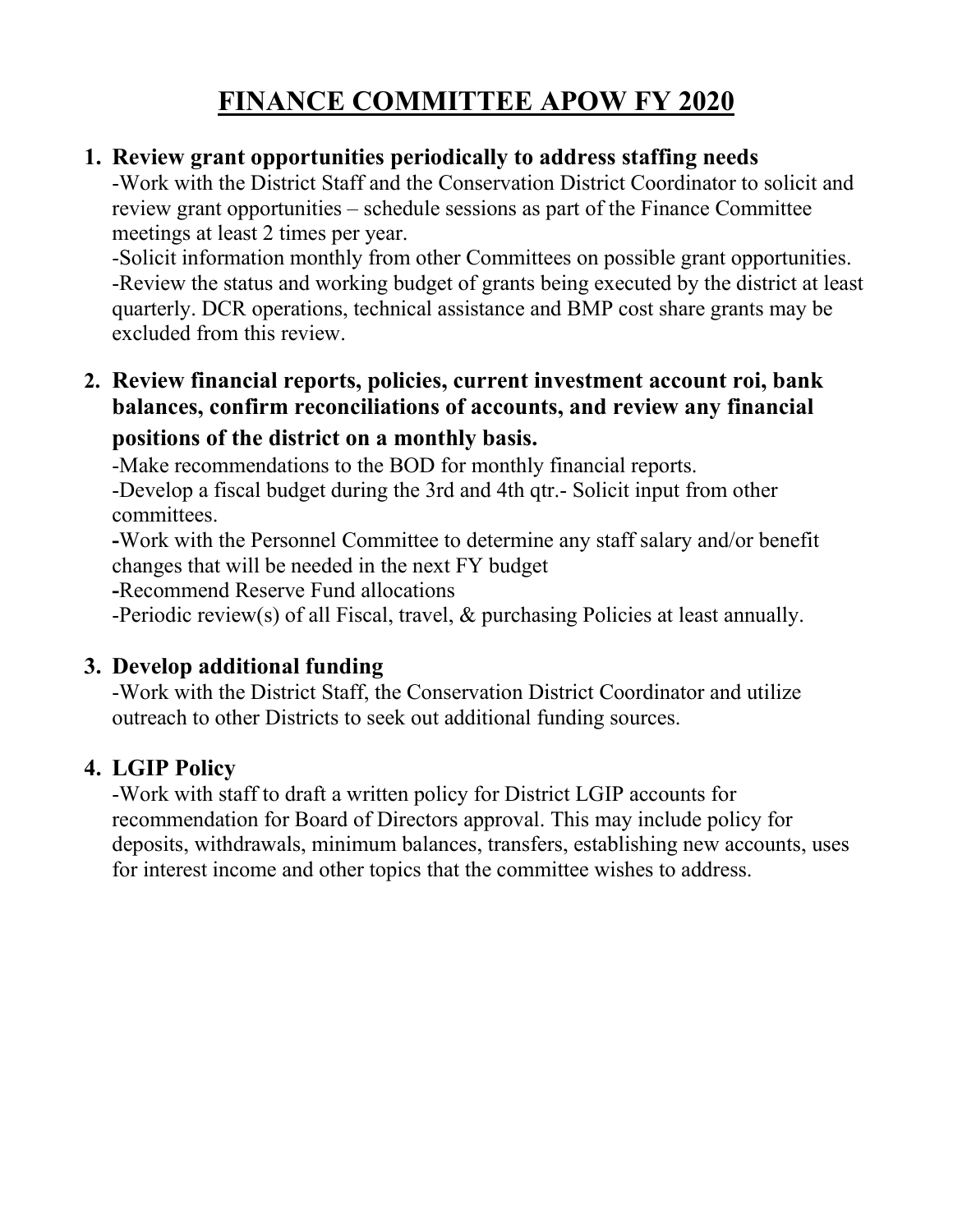## **FINANCE COMMITTEE APOW FY 2020**

#### **1. Review grant opportunities periodically to address staffing needs**

-Work with the District Staff and the Conservation District Coordinator to solicit and review grant opportunities – schedule sessions as part of the Finance Committee meetings at least 2 times per year.

-Solicit information monthly from other Committees on possible grant opportunities. -Review the status and working budget of grants being executed by the district at least quarterly. DCR operations, technical assistance and BMP cost share grants may be excluded from this review.

#### **2. Review financial reports, policies, current investment account roi, bank balances, confirm reconciliations of accounts, and review any financial positions of the district on a monthly basis.**

-Make recommendations to the BOD for monthly financial reports.

-Develop a fiscal budget during the 3rd and 4th qtr.- Solicit input from other committees.

**-**Work with the Personnel Committee to determine any staff salary and/or benefit changes that will be needed in the next FY budget

**-**Recommend Reserve Fund allocations

-Periodic review(s) of all Fiscal, travel, & purchasing Policies at least annually.

#### **3. Develop additional funding**

-Work with the District Staff, the Conservation District Coordinator and utilize outreach to other Districts to seek out additional funding sources.

#### **4. LGIP Policy**

-Work with staff to draft a written policy for District LGIP accounts for recommendation for Board of Directors approval. This may include policy for deposits, withdrawals, minimum balances, transfers, establishing new accounts, uses for interest income and other topics that the committee wishes to address.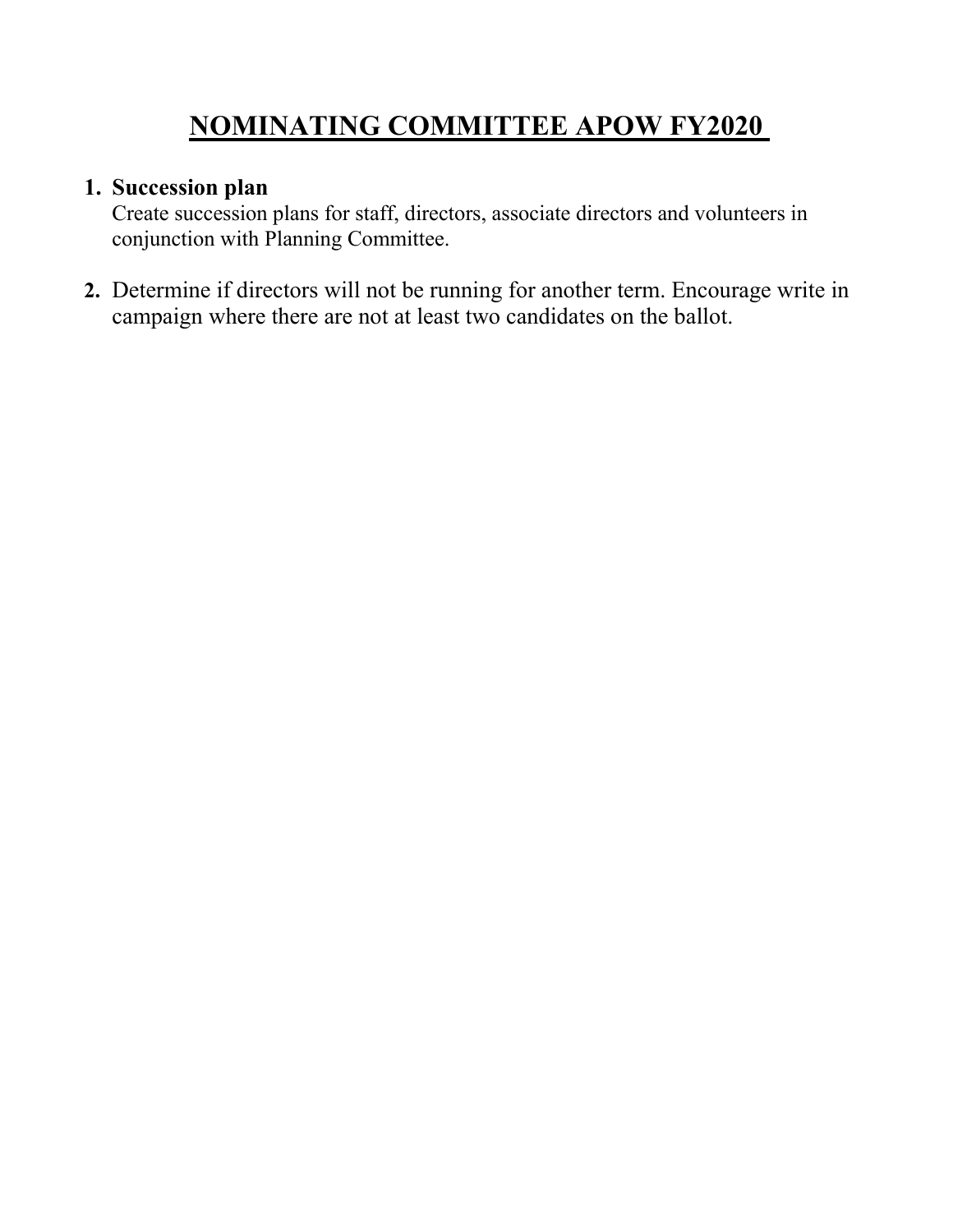## **NOMINATING COMMITTEE APOW FY2020**

#### **1. Succession plan**

Create succession plans for staff, directors, associate directors and volunteers in conjunction with Planning Committee.

**2.** Determine if directors will not be running for another term. Encourage write in campaign where there are not at least two candidates on the ballot.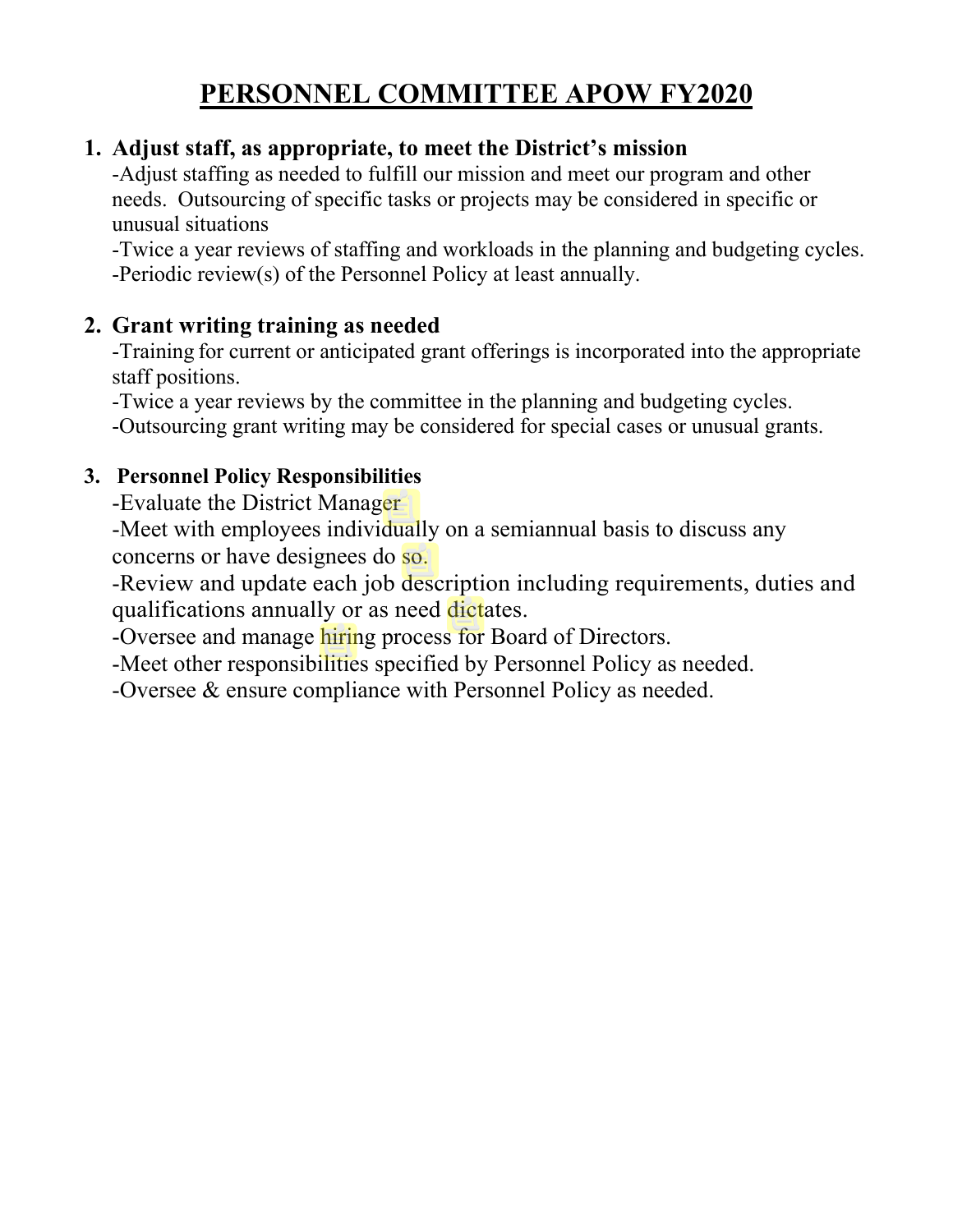## **PERSONNEL COMMITTEE APOW FY2020**

#### **1. Adjust staff, as appropriate, to meet the District's mission**

-Adjust staffing as needed to fulfill our mission and meet our program and other needs. Outsourcing of specific tasks or projects may be considered in specific or unusual situations

-Twice a year reviews of staffing and workloads in the planning and budgeting cycles. -Periodic review(s) of the Personnel Policy at least annually.

#### **2. Grant writing training as needed**

-Training for current or anticipated grant offerings is incorporated into the appropriate staff positions.

-Twice a year reviews by the committee in the planning and budgeting cycles.

-Outsourcing grant writing may be considered for special cases or unusual grants.

#### **3. Personnel Policy Responsibilities**

-Evaluate the District Manager

-Meet with employees individually on a semiannual basis to discuss any concerns or have designees do so.

-Review and update each job description including requirements, duties and qualifications annually or as need dictates.

-Oversee and manage hiring process for Board of Directors.

-Meet other responsibilities specified by Personnel Policy as needed.

-Oversee & ensure compliance with Personnel Policy as needed.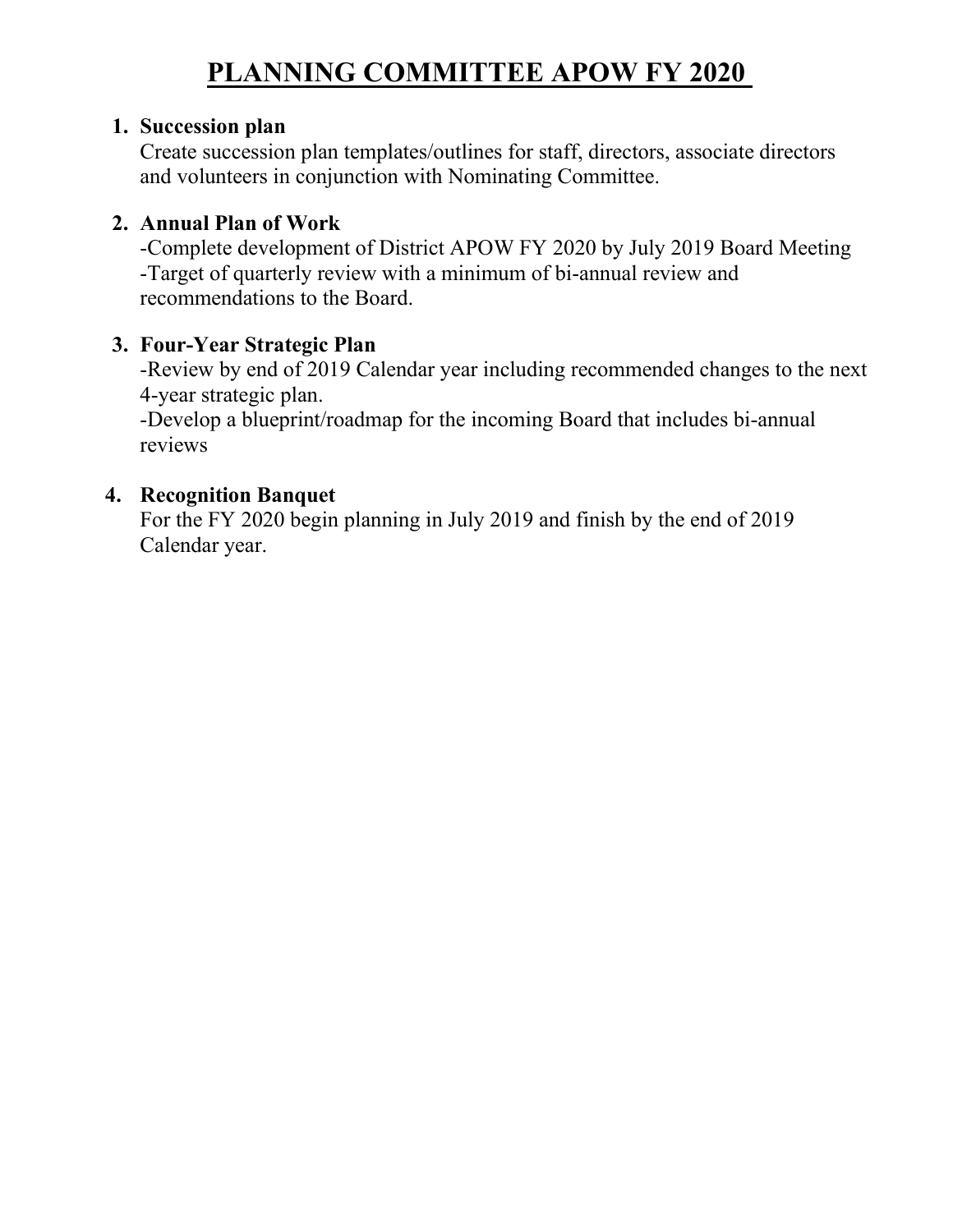## **PLANNING COMMITTEE APOW FY 2020**

#### **1. Succession plan**

Create succession plan templates/outlines for staff, directors, associate directors and volunteers in conjunction with Nominating Committee.

#### **2. Annual Plan of Work**

-Complete development of District APOW FY 2020 by July 2019 Board Meeting -Target of quarterly review with a minimum of bi-annual review and recommendations to the Board.

#### **3. Four-Year Strategic Plan**

-Review by end of 2019 Calendar year including recommended changes to the next 4-year strategic plan.

-Develop a blueprint/roadmap for the incoming Board that includes bi-annual reviews

#### **4. Recognition Banquet**

For the FY 2020 begin planning in July 2019 and finish by the end of 2019 Calendar year.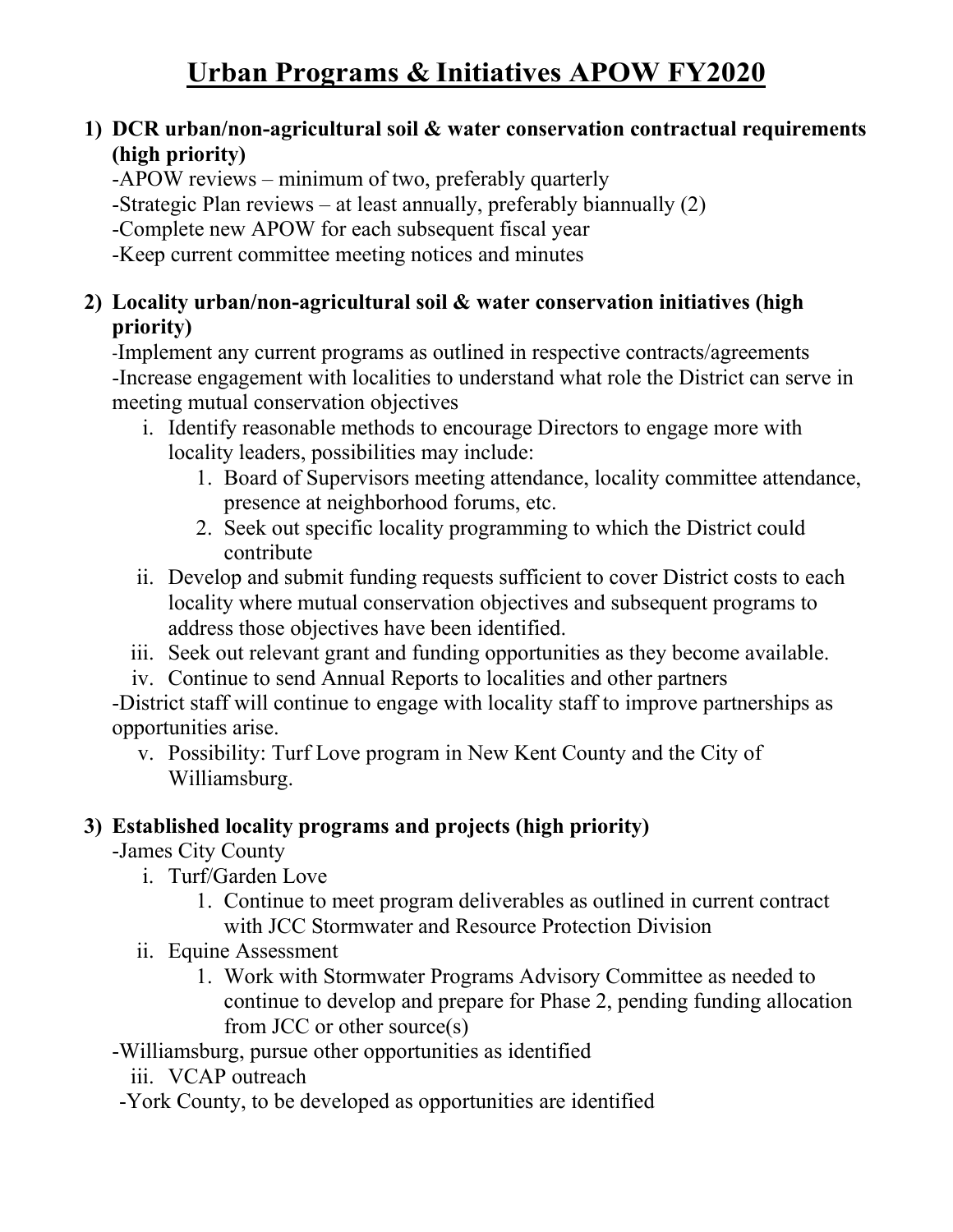#### **1) DCR urban/non-agricultural soil & water conservation contractual requirements (high priority)**

-APOW reviews – minimum of two, preferably quarterly

-Strategic Plan reviews – at least annually, preferably biannually (2)

-Complete new APOW for each subsequent fiscal year

-Keep current committee meeting notices and minutes

#### **2) Locality urban/non-agricultural soil & water conservation initiatives (high priority)**

-Implement any current programs as outlined in respective contracts/agreements -Increase engagement with localities to understand what role the District can serve in meeting mutual conservation objectives

- i. Identify reasonable methods to encourage Directors to engage more with locality leaders, possibilities may include:
	- 1. Board of Supervisors meeting attendance, locality committee attendance, presence at neighborhood forums, etc.
	- 2. Seek out specific locality programming to which the District could contribute
- ii. Develop and submit funding requests sufficient to cover District costs to each locality where mutual conservation objectives and subsequent programs to address those objectives have been identified.
- iii. Seek out relevant grant and funding opportunities as they become available.
- iv. Continue to send Annual Reports to localities and other partners

-District staff will continue to engage with locality staff to improve partnerships as opportunities arise.

v. Possibility: Turf Love program in New Kent County and the City of Williamsburg.

#### **3) Established locality programs and projects (high priority)**

-James City County

- i. Turf/Garden Love
	- 1. Continue to meet program deliverables as outlined in current contract with JCC Stormwater and Resource Protection Division
- ii. Equine Assessment
	- 1. Work with Stormwater Programs Advisory Committee as needed to continue to develop and prepare for Phase 2, pending funding allocation from JCC or other source(s)
- -Williamsburg, pursue other opportunities as identified
	- iii. VCAP outreach
- -York County, to be developed as opportunities are identified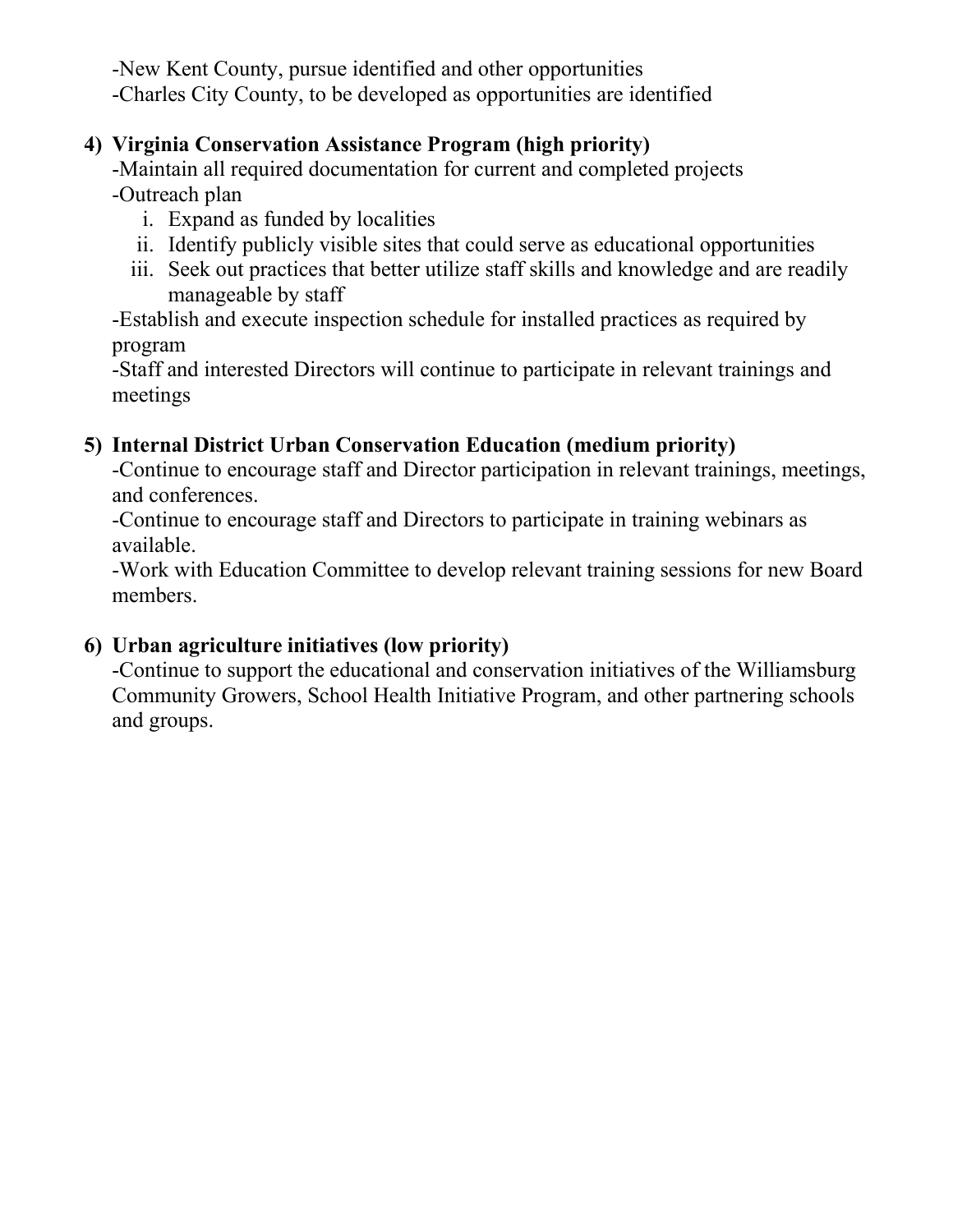-New Kent County, pursue identified and other opportunities -Charles City County, to be developed as opportunities are identified

#### **4) Virginia Conservation Assistance Program (high priority)**

-Maintain all required documentation for current and completed projects -Outreach plan

- i. Expand as funded by localities
- ii. Identify publicly visible sites that could serve as educational opportunities
- iii. Seek out practices that better utilize staff skills and knowledge and are readily manageable by staff

-Establish and execute inspection schedule for installed practices as required by program

-Staff and interested Directors will continue to participate in relevant trainings and meetings

#### **5) Internal District Urban Conservation Education (medium priority)**

-Continue to encourage staff and Director participation in relevant trainings, meetings, and conferences.

-Continue to encourage staff and Directors to participate in training webinars as available.

-Work with Education Committee to develop relevant training sessions for new Board members.

#### **6) Urban agriculture initiatives (low priority)**

-Continue to support the educational and conservation initiatives of the Williamsburg Community Growers, School Health Initiative Program, and other partnering schools and groups.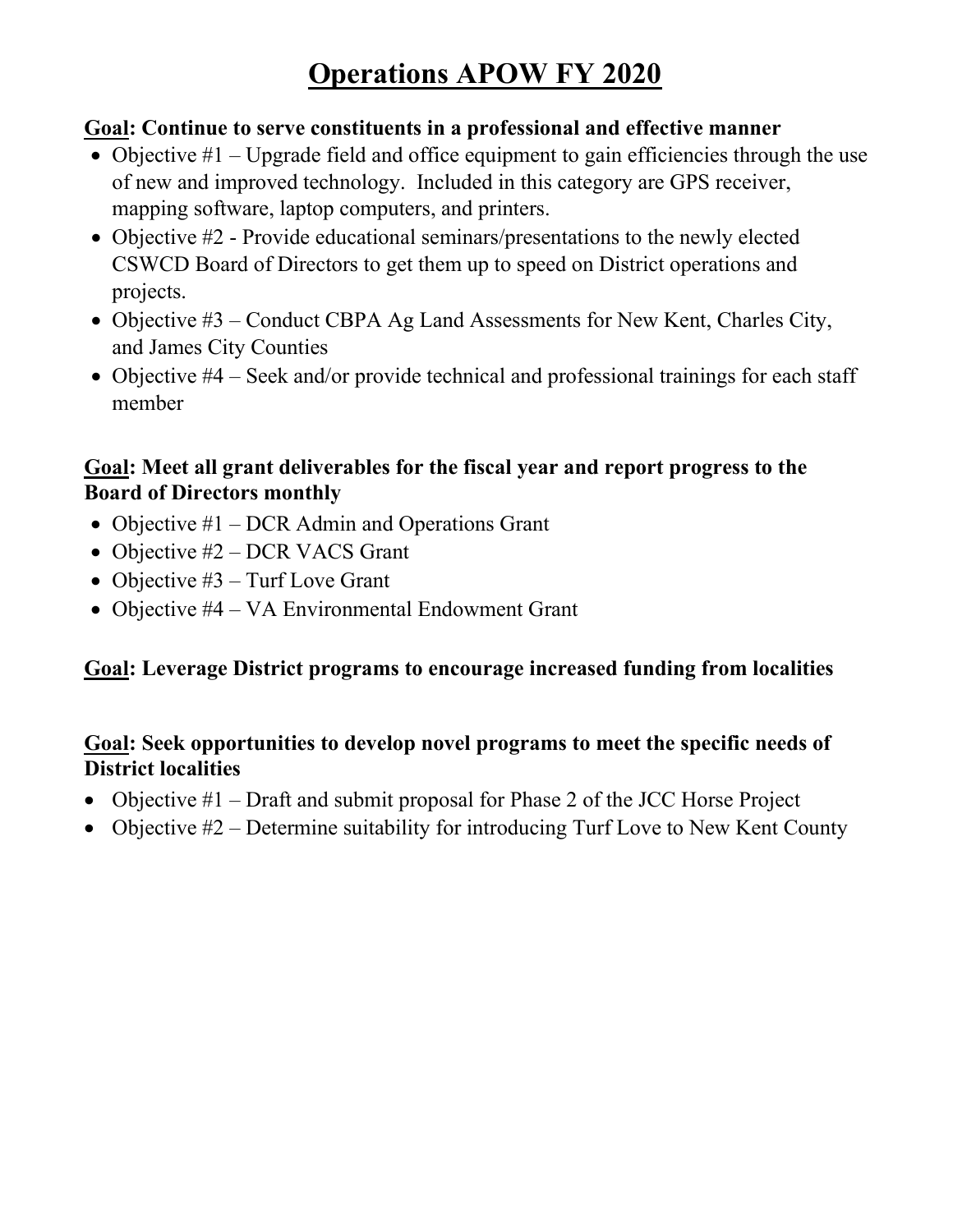## **Operations APOW FY 2020**

#### **Goal: Continue to serve constituents in a professional and effective manner**

- Objective  $#1$  Upgrade field and office equipment to gain efficiencies through the use of new and improved technology. Included in this category are GPS receiver, mapping software, laptop computers, and printers.
- Objective #2 Provide educational seminars/presentations to the newly elected CSWCD Board of Directors to get them up to speed on District operations and projects.
- Objective #3 Conduct CBPA Ag Land Assessments for New Kent, Charles City, and James City Counties
- Objective #4 Seek and/or provide technical and professional trainings for each staff member

#### **Goal: Meet all grant deliverables for the fiscal year and report progress to the Board of Directors monthly**

- Objective #1 DCR Admin and Operations Grant
- Objective #2 DCR VACS Grant
- Objective #3 Turf Love Grant
- Objective #4 VA Environmental Endowment Grant

#### **Goal: Leverage District programs to encourage increased funding from localities**

#### **Goal: Seek opportunities to develop novel programs to meet the specific needs of District localities**

- Objective #1 Draft and submit proposal for Phase 2 of the JCC Horse Project
- Objective #2 Determine suitability for introducing Turf Love to New Kent County